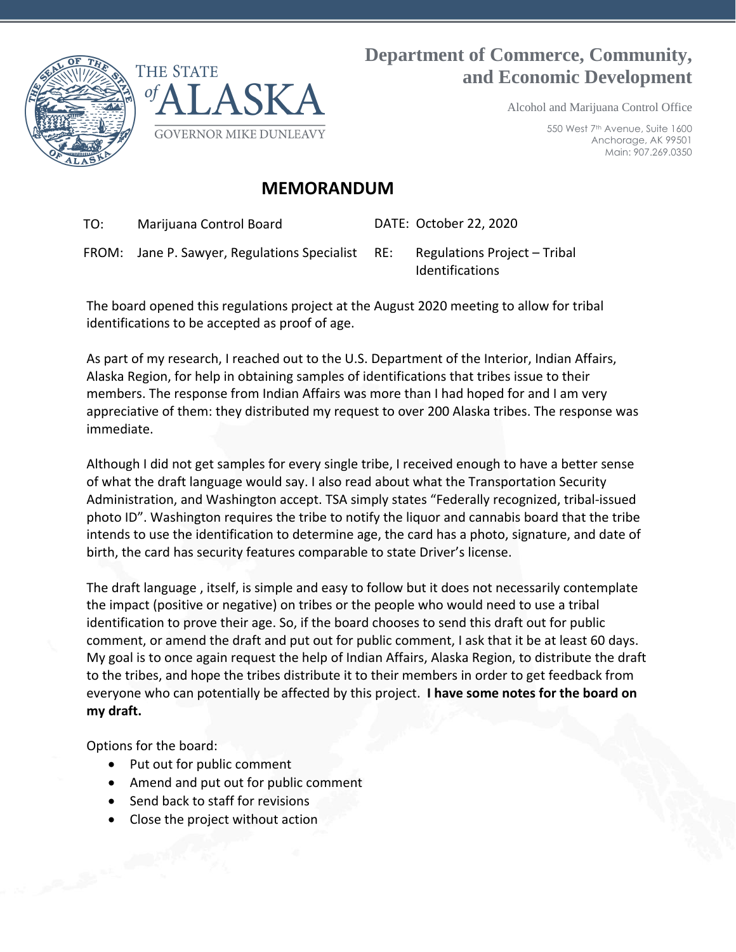

# **Department of Commerce, Community, and Economic Development**

Alcohol and Marijuana Control Office

550 West 7th Avenue, Suite 1600 Anchorage, AK 99501 Main: 907.269.0350

## **MEMORANDUM**

TO: Marijuana Control Board DATE: October 22, 2020

FROM: Jane P. Sawyer, Regulations Specialist RE: Regulations Project – Tribal

Identifications

The board opened this regulations project at the August 2020 meeting to allow for tribal identifications to be accepted as proof of age.

As part of my research, I reached out to the U.S. Department of the Interior, Indian Affairs, Alaska Region, for help in obtaining samples of identifications that tribes issue to their members. The response from Indian Affairs was more than I had hoped for and I am very appreciative of them: they distributed my request to over 200 Alaska tribes. The response was immediate.

Although I did not get samples for every single tribe, I received enough to have a better sense of what the draft language would say. I also read about what the Transportation Security Administration, and Washington accept. TSA simply states "Federally recognized, tribal-issued photo ID". Washington requires the tribe to notify the liquor and cannabis board that the tribe intends to use the identification to determine age, the card has a photo, signature, and date of birth, the card has security features comparable to state Driver's license.

The draft language , itself, is simple and easy to follow but it does not necessarily contemplate the impact (positive or negative) on tribes or the people who would need to use a tribal identification to prove their age. So, if the board chooses to send this draft out for public comment, or amend the draft and put out for public comment, I ask that it be at least 60 days. My goal is to once again request the help of Indian Affairs, Alaska Region, to distribute the draft to the tribes, and hope the tribes distribute it to their members in order to get feedback from everyone who can potentially be affected by this project. **I have some notes for the board on my draft.** 

Options for the board:

- Put out for public comment
- Amend and put out for public comment
- Send back to staff for revisions
- Close the project without action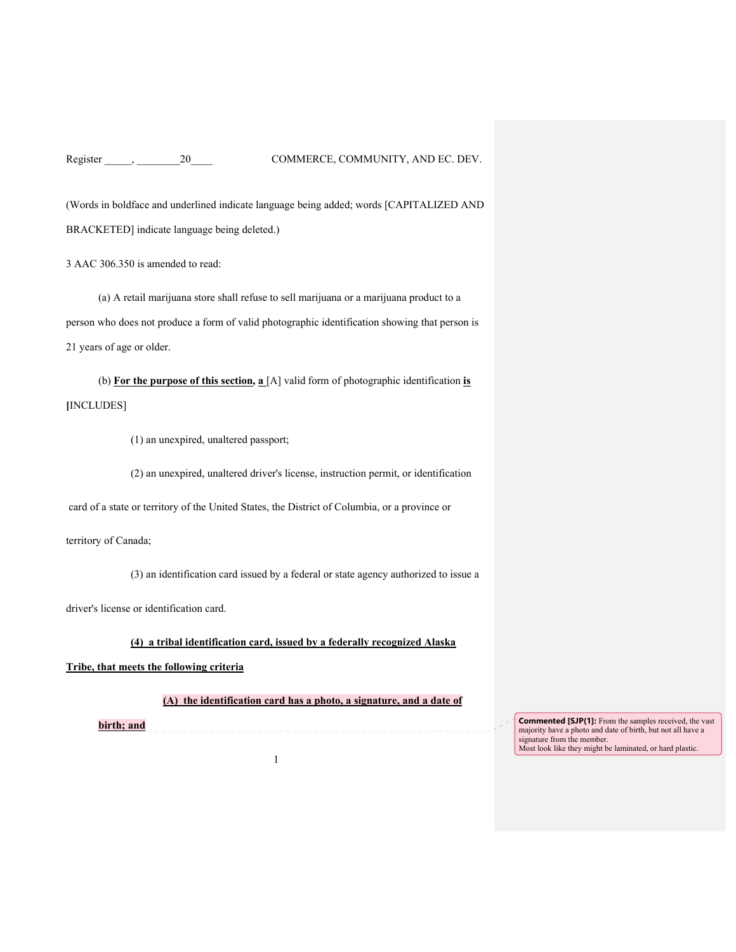Register \_\_\_\_\_, \_\_\_\_\_\_\_\_20\_\_\_\_ COMMERCE, COMMUNITY, AND EC. DEV.

(Words in boldface and underlined indicate language being added; words [CAPITALIZED AND BRACKETED] indicate language being deleted.)

3 AAC 306.350 is amended to read:

(a) A retail marijuana store shall refuse to sell marijuana or a marijuana product to a person who does not produce a form of valid photographic identification showing that person is 21 years of age or older.

(b) **For the purpose of this section, a** [A] valid form of photographic identification **is [**INCLUDES]

(1) an unexpired, unaltered passport;

(2) an unexpired, unaltered driver's license, instruction permit, or identification

card of a state or territory of the United States, the District of Columbia, or a province or

territory of Canada;

(3) an identification card issued by a federal or state agency authorized to issue a

driver's license or identification card.

### **(4) a tribal identification card, issued by a federally recognized Alaska**

**Tribe, that meets the following criteria**

**(A) the identification card has a photo, a signature, and a date of** 

**birth; and Commented [SJP(1]:** From the samples received, the vast majority have a photo and date of birth, but not all have a signature from the member. Most look like they might be laminated, or hard plastic.

1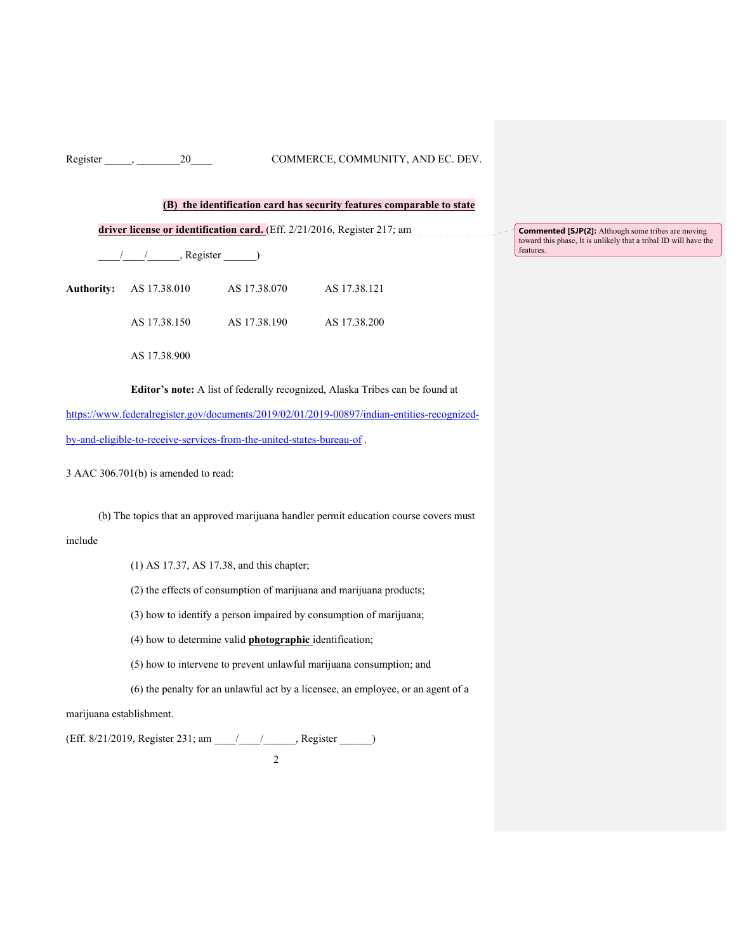### Register \_\_\_\_\_, \_\_\_\_\_\_\_\_20\_\_\_\_ COMMERCE, COMMUNITY, AND EC. DEV.

### **(B) the identification card has security features comparable to state**

**driver license or identification card.** (Eff. 2/21/2016, Register 217; am

\_\_\_\_/\_\_\_\_/\_\_\_\_\_\_, Register \_\_\_\_\_\_)

| Authority: AS 17.38.010 | AS 17.38.070 | AS 17.38.121 |
|-------------------------|--------------|--------------|
| AS 17.38.150            | AS 17.38.190 | AS 17.38.200 |

AS 17.38.900

**Editor's note:** A list of federally recognized, Alaska Tribes can be found at

https://www.federalregister.gov/documents/2019/02/01/2019-00897/indian-entities-recognizedby-and-eligible-to-receive-services-from-the-united-states-bureau-of .

3 AAC 306.701(b) is amended to read:

(b) The topics that an approved marijuana handler permit education course covers must

### include

(1) AS 17.37, AS 17.38, and this chapter;

(2) the effects of consumption of marijuana and marijuana products;

(3) how to identify a person impaired by consumption of marijuana;

(4) how to determine valid **photographic** identification;

(5) how to intervene to prevent unlawful marijuana consumption; and

(6) the penalty for an unlawful act by a licensee, an employee, or an agent of a

#### marijuana establishment.

(Eff. 8/21/2019, Register 231; am \_\_\_\_/\_\_\_\_/\_\_\_\_\_\_, Register \_\_\_\_\_\_)

2

**Commented [SJP(2]:** Although some tribes are moving toward this phase, It is unlikely that a tribal ID will have the features.